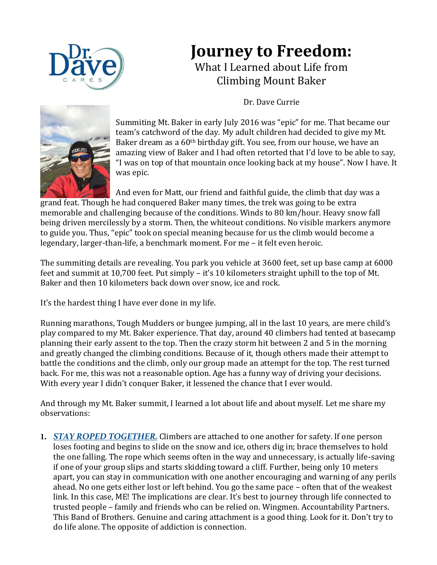

## **Journey to Freedom:**

What I Learned about Life from Climbing Mount Baker

Dr. Dave Currie



Summiting Mt. Baker in early July 2016 was "epic" for me. That became our team's catchword of the day. My adult children had decided to give my Mt. Baker dream as a 60<sup>th</sup> birthday gift. You see, from our house, we have an amazing view of Baker and I had often retorted that I'd love to be able to say, "I was on top of that mountain once looking back at my house". Now I have. It was epic.

And even for Matt, our friend and faithful guide, the climb that day was a grand feat. Though he had conquered Baker many times, the trek was going to be extra memorable and challenging because of the conditions. Winds to 80 km/hour. Heavy snow fall being driven mercilessly by a storm. Then, the whiteout conditions. No visible markers anymore to guide you. Thus, "epic" took on special meaning because for us the climb would become a legendary, larger-than-life, a benchmark moment. For me – it felt even heroic.

The summiting details are revealing. You park you vehicle at 3600 feet, set up base camp at 6000 feet and summit at 10,700 feet. Put simply – it's 10 kilometers straight uphill to the top of Mt. Baker and then 10 kilometers back down over snow, ice and rock.

It's the hardest thing I have ever done in my life.

Running marathons, Tough Mudders or bungee jumping, all in the last 10 years, are mere child's play compared to my Mt. Baker experience. That day, around 40 climbers had tented at basecamp planning their early assent to the top. Then the crazy storm hit between 2 and 5 in the morning and greatly changed the climbing conditions. Because of it, though others made their attempt to battle the conditions and the climb, only our group made an attempt for the top. The rest turned back. For me, this was not a reasonable option. Age has a funny way of driving your decisions. With every year I didn't conquer Baker, it lessened the chance that I ever would.

And through my Mt. Baker summit, I learned a lot about life and about myself. Let me share my observations:

1. *STAY ROPED TOGETHER.* Climbers are attached to one another for safety. If one person loses footing and begins to slide on the snow and ice, others dig in; brace themselves to hold the one falling. The rope which seems often in the way and unnecessary, is actually life-saving if one of your group slips and starts skidding toward a cliff. Further, being only 10 meters apart, you can stay in communication with one another encouraging and warning of any perils ahead. No one gets either lost or left behind. You go the same pace – often that of the weakest link. In this case, ME! The implications are clear. It's best to journey through life connected to trusted people – family and friends who can be relied on. Wingmen. Accountability Partners. This Band of Brothers. Genuine and caring attachment is a good thing. Look for it. Don't try to do life alone. The opposite of addiction is connection.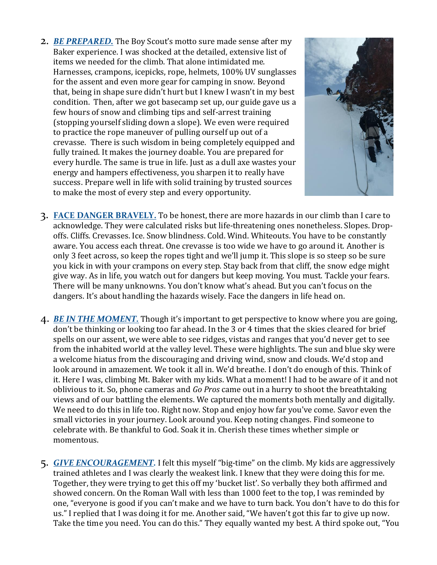2. *BE PREPARED.* The Boy Scout's motto sure made sense after my Baker experience. I was shocked at the detailed, extensive list of items we needed for the climb. That alone intimidated me. Harnesses, crampons, icepicks, rope, helmets, 100% UV sunglasses for the assent and even more gear for camping in snow. Beyond that, being in shape sure didn't hurt but I knew I wasn't in my best condition. Then, after we got basecamp set up, our guide gave us a few hours of snow and climbing tips and self-arrest training (stopping yourself sliding down a slope). We even were required to practice the rope maneuver of pulling ourself up out of a crevasse. There is such wisdom in being completely equipped and fully trained. It makes the journey doable. You are prepared for every hurdle. The same is true in life. Just as a dull axe wastes your energy and hampers effectiveness, you sharpen it to really have success. Prepare well in life with solid training by trusted sources to make the most of every step and every opportunity.



- 3. **FACE DANGER BRAVELY.** To be honest, there are more hazards in our climb than I care to acknowledge. They were calculated risks but life-threatening ones nonetheless. Slopes. Dropoffs. Cliffs. Crevasses. Ice. Snow blindness. Cold. Wind. Whiteouts. You have to be constantly aware. You access each threat. One crevasse is too wide we have to go around it. Another is only 3 feet across, so keep the ropes tight and we'll jump it. This slope is so steep so be sure you kick in with your crampons on every step. Stay back from that cliff, the snow edge might give way. As in life, you watch out for dangers but keep moving. You must. Tackle your fears. There will be many unknowns. You don't know what's ahead. But you can't focus on the dangers. It's about handling the hazards wisely. Face the dangers in life head on.
- 4. *BE IN THE MOMENT.* Though it's important to get perspective to know where you are going, don't be thinking or looking too far ahead. In the 3 or 4 times that the skies cleared for brief spells on our assent, we were able to see ridges, vistas and ranges that you'd never get to see from the inhabited world at the valley level. These were highlights. The sun and blue sky were a welcome hiatus from the discouraging and driving wind, snow and clouds. We'd stop and look around in amazement. We took it all in. We'd breathe. I don't do enough of this. Think of it. Here I was, climbing Mt. Baker with my kids. What a moment! I had to be aware of it and not oblivious to it. So, phone cameras and *Go Pros* came out in a hurry to shoot the breathtaking views and of our battling the elements. We captured the moments both mentally and digitally. We need to do this in life too. Right now. Stop and enjoy how far you've come. Savor even the small victories in your journey. Look around you. Keep noting changes. Find someone to celebrate with. Be thankful to God. Soak it in. Cherish these times whether simple or momentous.
- 5. *GIVE ENCOURAGEMENT.* I felt this myself "big-time" on the climb. My kids are aggressively trained athletes and I was clearly the weakest link. I knew that they were doing this for me. Together, they were trying to get this off my 'bucket list'. So verbally they both affirmed and showed concern. On the Roman Wall with less than 1000 feet to the top, I was reminded by one, "everyone is good if you can't make and we have to turn back. You don't have to do this for us." I replied that I was doing it for me. Another said, "We haven't got this far to give up now. Take the time you need. You can do this." They equally wanted my best. A third spoke out, "You